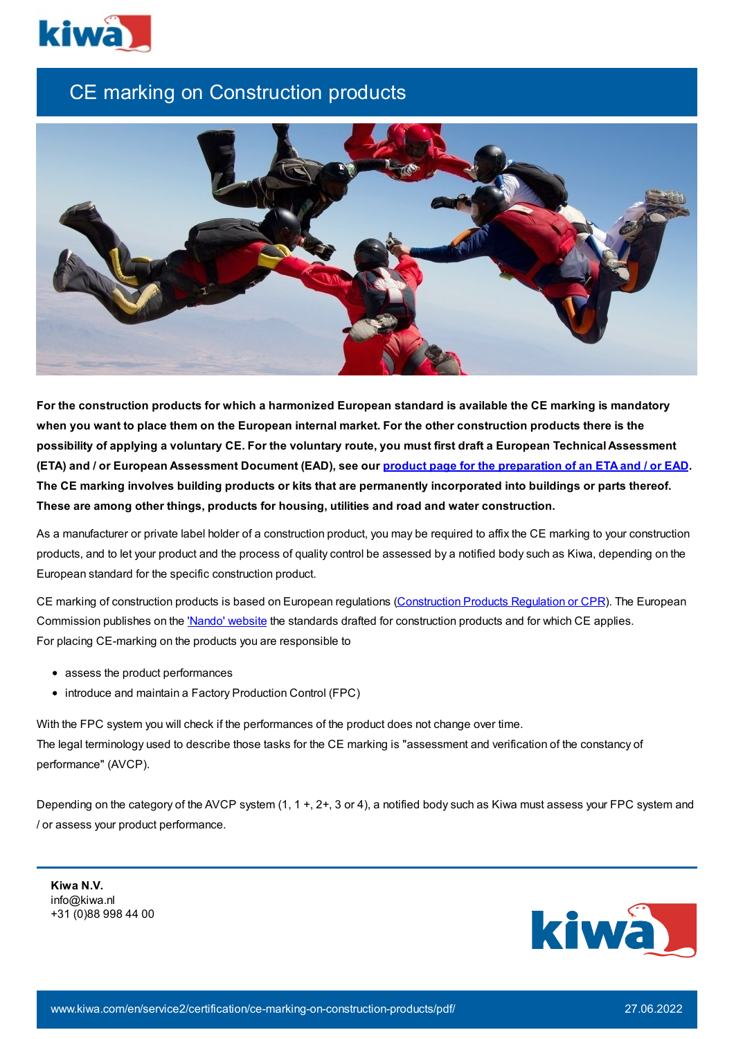

## CE marking on Construction products



For the construction products for which a harmonized European standard is available the CE marking is mandatory when you want to place them on the European internal market. For the other construction products there is the possibility of applying a voluntary CE. For the voluntary route, you must first draft a European Technical Assessment (ETA) and / or European Assessment Document (EAD), see our product page for the [preparation](https://www.kiwa.com/nl/en/products/eta-ead-technical-assessment-service/) of an ETA and / or EAD. The CE marking involves building products or kits that are permanently incorporated into buildings or parts thereof. **These are among other things, products for housing, utilities and road and water construction.**

As a manufacturer or private label holder of a construction product, you may be required to affix the CE marking to your construction products, and to let your product and the process of quality control be assessed by a notified body such as Kiwa, depending on the European standard for the specific construction product.

CE marking of construction products is based on European regulations [\(Construction](http://eur-lex.europa.eu/legal-content/EN/TXT/PDF/?uri=CELEX:32011R0305&from=EN) Products Regulation or CPR). The European Commission publishes on the 'Nando' [website](http://ec.europa.eu/growth/tools-databases/nando/index.cfm?fuseaction=cp.hs&cpr=Y) the standards drafted for construction products and for which CE applies. For placing CE-marking on the products you are responsible to

- assess the product performances
- introduce and maintain a Factory Production Control (FPC)

With the FPC system you will check if the performances of the product does not change over time. The legal terminology used to describe those tasks for the CE marking is "assessment and verification of the constancy of performance" (AVCP).

Depending on the category of the AVCP system (1, 1 +, 2+, 3 or 4), a notified body such as Kiwa must assess your FPC system and / or assess your product performance.

**Kiwa N.V.** info@kiwa.nl +31 (0)88 998 44 00